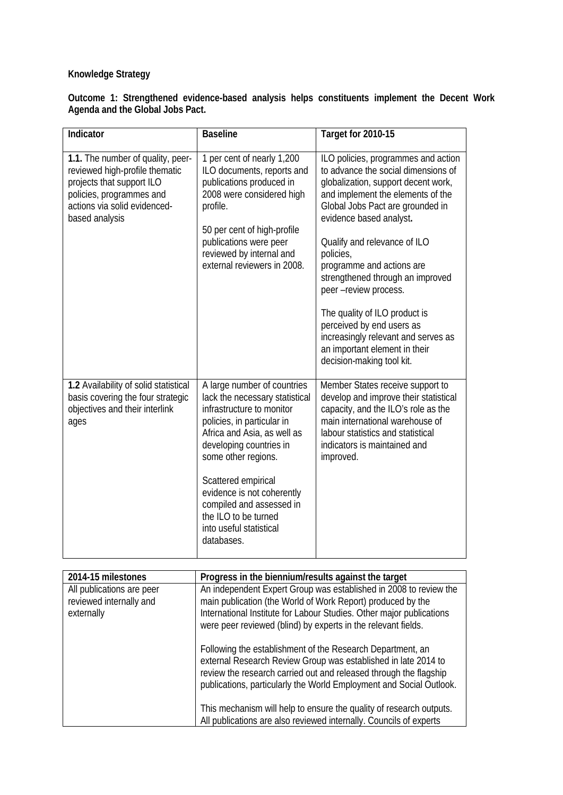## **Knowledge Strategy**

|                                  | Outcome 1: Strengthened evidence-based analysis helps constituents implement the Decent Work |  |  |  |  |
|----------------------------------|----------------------------------------------------------------------------------------------|--|--|--|--|
| Agenda and the Global Jobs Pact. |                                                                                              |  |  |  |  |

| Indicator                                                                                                                                                                      | <b>Baseline</b>                                                                                                                                                                                                                                                                                                                                             | Target for 2010-15                                                                                                                                                                                                                                                                                                                                                                                                                                                                                                              |
|--------------------------------------------------------------------------------------------------------------------------------------------------------------------------------|-------------------------------------------------------------------------------------------------------------------------------------------------------------------------------------------------------------------------------------------------------------------------------------------------------------------------------------------------------------|---------------------------------------------------------------------------------------------------------------------------------------------------------------------------------------------------------------------------------------------------------------------------------------------------------------------------------------------------------------------------------------------------------------------------------------------------------------------------------------------------------------------------------|
| 1.1. The number of quality, peer-<br>reviewed high-profile thematic<br>projects that support ILO<br>policies, programmes and<br>actions via solid evidenced-<br>based analysis | 1 per cent of nearly 1,200<br>ILO documents, reports and<br>publications produced in<br>2008 were considered high<br>profile.<br>50 per cent of high-profile<br>publications were peer<br>reviewed by internal and<br>external reviewers in 2008.                                                                                                           | ILO policies, programmes and action<br>to advance the social dimensions of<br>globalization, support decent work,<br>and implement the elements of the<br>Global Jobs Pact are grounded in<br>evidence based analyst.<br>Qualify and relevance of ILO<br>policies,<br>programme and actions are<br>strengthened through an improved<br>peer -review process.<br>The quality of ILO product is<br>perceived by end users as<br>increasingly relevant and serves as<br>an important element in their<br>decision-making tool kit. |
| 1.2 Availability of solid statistical<br>basis covering the four strategic<br>objectives and their interlink<br>ages                                                           | A large number of countries<br>lack the necessary statistical<br>infrastructure to monitor<br>policies, in particular in<br>Africa and Asia, as well as<br>developing countries in<br>some other regions.<br>Scattered empirical<br>evidence is not coherently<br>compiled and assessed in<br>the ILO to be turned<br>into useful statistical<br>databases. | Member States receive support to<br>develop and improve their statistical<br>capacity, and the ILO's role as the<br>main international warehouse of<br>labour statistics and statistical<br>indicators is maintained and<br>improved.                                                                                                                                                                                                                                                                                           |

| 2014-15 milestones                                                 | Progress in the biennium/results against the target                                                                                                                                                                                                                       |
|--------------------------------------------------------------------|---------------------------------------------------------------------------------------------------------------------------------------------------------------------------------------------------------------------------------------------------------------------------|
| All publications are peer<br>reviewed internally and<br>externally | An independent Expert Group was established in 2008 to review the<br>main publication (the World of Work Report) produced by the<br>International Institute for Labour Studies. Other major publications<br>were peer reviewed (blind) by experts in the relevant fields. |
|                                                                    | Following the establishment of the Research Department, an<br>external Research Review Group was established in late 2014 to<br>review the research carried out and released through the flagship<br>publications, particularly the World Employment and Social Outlook.  |
|                                                                    | This mechanism will help to ensure the quality of research outputs.<br>All publications are also reviewed internally. Councils of experts                                                                                                                                 |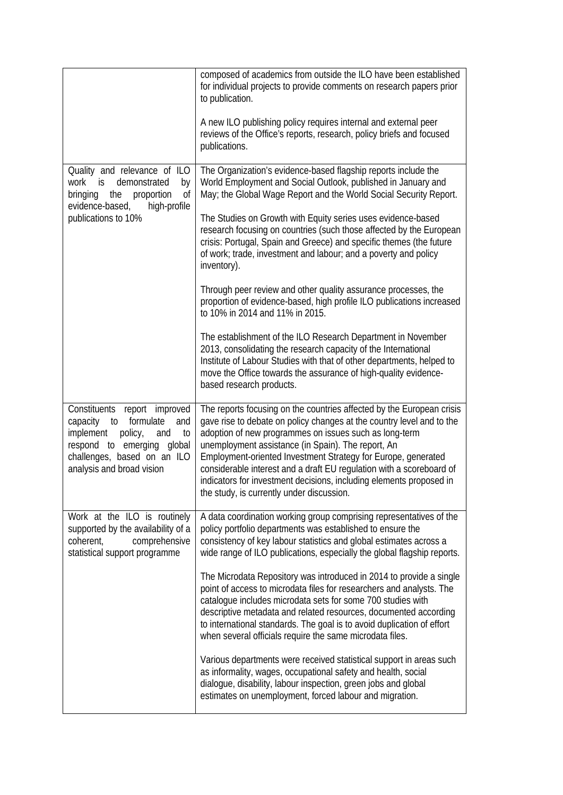|                                                                                                                                                                                                   | composed of academics from outside the ILO have been established<br>for individual projects to provide comments on research papers prior<br>to publication.                                                                                                                                                                                                                                                                                                                                                                 |
|---------------------------------------------------------------------------------------------------------------------------------------------------------------------------------------------------|-----------------------------------------------------------------------------------------------------------------------------------------------------------------------------------------------------------------------------------------------------------------------------------------------------------------------------------------------------------------------------------------------------------------------------------------------------------------------------------------------------------------------------|
|                                                                                                                                                                                                   | A new ILO publishing policy requires internal and external peer<br>reviews of the Office's reports, research, policy briefs and focused<br>publications.                                                                                                                                                                                                                                                                                                                                                                    |
| Quality and relevance of ILO<br>demonstrated<br>work<br>is<br>by<br>bringing<br>the<br>proportion<br>0f<br>evidence-based,<br>high-profile<br>publications to 10%                                 | The Organization's evidence-based flagship reports include the<br>World Employment and Social Outlook, published in January and<br>May; the Global Wage Report and the World Social Security Report.                                                                                                                                                                                                                                                                                                                        |
|                                                                                                                                                                                                   | The Studies on Growth with Equity series uses evidence-based<br>research focusing on countries (such those affected by the European<br>crisis: Portugal, Spain and Greece) and specific themes (the future<br>of work; trade, investment and labour; and a poverty and policy<br>inventory).                                                                                                                                                                                                                                |
|                                                                                                                                                                                                   | Through peer review and other quality assurance processes, the<br>proportion of evidence-based, high profile ILO publications increased<br>to 10% in 2014 and 11% in 2015.                                                                                                                                                                                                                                                                                                                                                  |
|                                                                                                                                                                                                   | The establishment of the ILO Research Department in November<br>2013, consolidating the research capacity of the International<br>Institute of Labour Studies with that of other departments, helped to<br>move the Office towards the assurance of high-quality evidence-<br>based research products.                                                                                                                                                                                                                      |
| Constituents report improved<br>formulate<br>capacity<br>to<br>and<br>implement<br>policy,<br>to<br>and<br>respond to emerging global<br>challenges, based on an ILO<br>analysis and broad vision | The reports focusing on the countries affected by the European crisis<br>gave rise to debate on policy changes at the country level and to the<br>adoption of new programmes on issues such as long-term<br>unemployment assistance (in Spain). The report, An<br>Employment-oriented Investment Strategy for Europe, generated<br>considerable interest and a draft EU regulation with a scoreboard of<br>indicators for investment decisions, including elements proposed in<br>the study, is currently under discussion. |
| Work at the ILO is routinely<br>supported by the availability of a<br>comprehensive<br>coherent,<br>statistical support programme                                                                 | A data coordination working group comprising representatives of the<br>policy portfolio departments was established to ensure the<br>consistency of key labour statistics and global estimates across a<br>wide range of ILO publications, especially the global flagship reports.                                                                                                                                                                                                                                          |
|                                                                                                                                                                                                   | The Microdata Repository was introduced in 2014 to provide a single<br>point of access to microdata files for researchers and analysts. The<br>catalogue includes microdata sets for some 700 studies with<br>descriptive metadata and related resources, documented according<br>to international standards. The goal is to avoid duplication of effort<br>when several officials require the same microdata files.                                                                                                        |
|                                                                                                                                                                                                   | Various departments were received statistical support in areas such<br>as informality, wages, occupational safety and health, social<br>dialogue, disability, labour inspection, green jobs and global<br>estimates on unemployment, forced labour and migration.                                                                                                                                                                                                                                                           |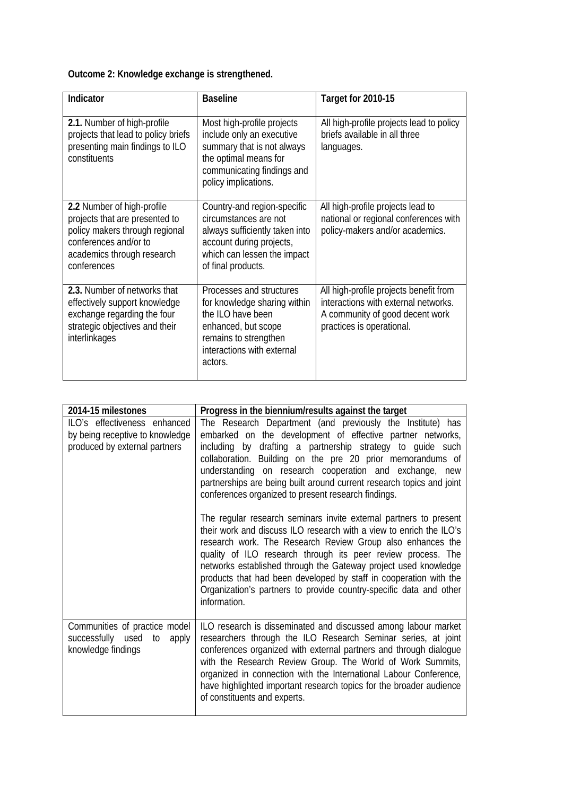## **Outcome 2: Knowledge exchange is strengthened.**

| Indicator                                                                                                                                                            | <b>Baseline</b>                                                                                                                                                         | Target for 2010-15                                                                                                                             |
|----------------------------------------------------------------------------------------------------------------------------------------------------------------------|-------------------------------------------------------------------------------------------------------------------------------------------------------------------------|------------------------------------------------------------------------------------------------------------------------------------------------|
| 2.1. Number of high-profile<br>projects that lead to policy briefs<br>presenting main findings to ILO<br>constituents                                                | Most high-profile projects<br>include only an executive<br>summary that is not always<br>the optimal means for<br>communicating findings and<br>policy implications.    | All high-profile projects lead to policy<br>briefs available in all three<br>languages.                                                        |
| 2.2 Number of high-profile<br>projects that are presented to<br>policy makers through regional<br>conferences and/or to<br>academics through research<br>conferences | Country-and region-specific<br>circumstances are not<br>always sufficiently taken into<br>account during projects,<br>which can lessen the impact<br>of final products. | All high-profile projects lead to<br>national or regional conferences with<br>policy-makers and/or academics.                                  |
| 2.3. Number of networks that<br>effectively support knowledge<br>exchange regarding the four<br>strategic objectives and their<br>interlinkages                      | Processes and structures<br>for knowledge sharing within<br>the ILO have been<br>enhanced, but scope<br>remains to strengthen<br>interactions with external<br>actors.  | All high-profile projects benefit from<br>interactions with external networks.<br>A community of good decent work<br>practices is operational. |

| 2014-15 milestones                                                                               | Progress in the biennium/results against the target                                                                                                                                                                                                                                                                                                                                                                                                                                                                                                                                                                                                                                                                                                                                                                                                                                                                                                     |
|--------------------------------------------------------------------------------------------------|---------------------------------------------------------------------------------------------------------------------------------------------------------------------------------------------------------------------------------------------------------------------------------------------------------------------------------------------------------------------------------------------------------------------------------------------------------------------------------------------------------------------------------------------------------------------------------------------------------------------------------------------------------------------------------------------------------------------------------------------------------------------------------------------------------------------------------------------------------------------------------------------------------------------------------------------------------|
| ILO's effectiveness enhanced<br>by being receptive to knowledge<br>produced by external partners | The Research Department (and previously the Institute) has<br>embarked on the development of effective partner networks,<br>including by drafting a partnership strategy to guide such<br>collaboration. Building on the pre 20 prior memorandums of<br>understanding on research cooperation and exchange, new<br>partnerships are being built around current research topics and joint<br>conferences organized to present research findings.<br>The regular research seminars invite external partners to present<br>their work and discuss ILO research with a view to enrich the ILO's<br>research work. The Research Review Group also enhances the<br>quality of ILO research through its peer review process. The<br>networks established through the Gateway project used knowledge<br>products that had been developed by staff in cooperation with the<br>Organization's partners to provide country-specific data and other<br>information. |
| Communities of practice model<br>successfully used<br>to<br>apply<br>knowledge findings          | ILO research is disseminated and discussed among labour market<br>researchers through the ILO Research Seminar series, at joint<br>conferences organized with external partners and through dialogue<br>with the Research Review Group. The World of Work Summits,<br>organized in connection with the International Labour Conference,<br>have highlighted important research topics for the broader audience<br>of constituents and experts.                                                                                                                                                                                                                                                                                                                                                                                                                                                                                                          |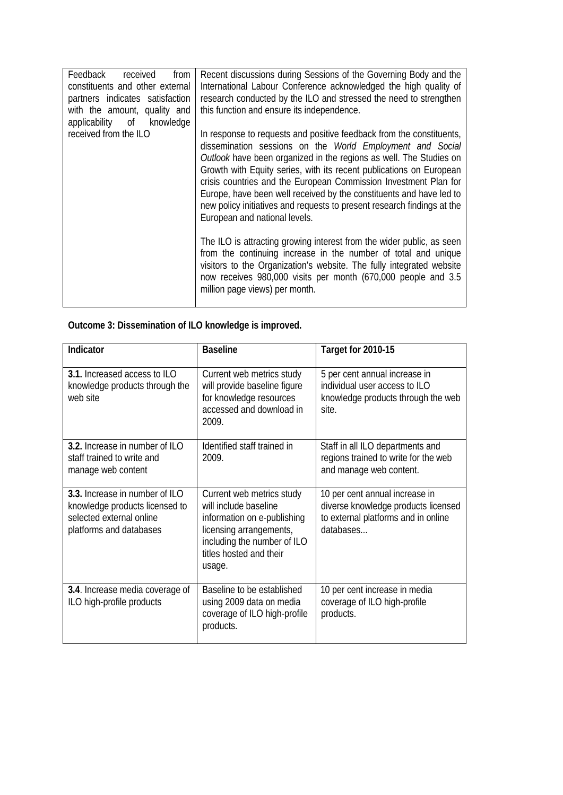| Feedback received from<br>constituents and other external<br>partners indicates satisfaction<br>with the amount, quality and<br>applicability of knowledge<br>received from the ILO | Recent discussions during Sessions of the Governing Body and the<br>International Labour Conference acknowledged the high quality of<br>research conducted by the ILO and stressed the need to strengthen<br>this function and ensure its independence.<br>In response to requests and positive feedback from the constituents,<br>dissemination sessions on the World Employment and Social<br>Outlook have been organized in the regions as well. The Studies on<br>Growth with Equity series, with its recent publications on European<br>crisis countries and the European Commission Investment Plan for<br>Europe, have been well received by the constituents and have led to<br>new policy initiatives and requests to present research findings at the<br>European and national levels.<br>The ILO is attracting growing interest from the wider public, as seen<br>from the continuing increase in the number of total and unique<br>visitors to the Organization's website. The fully integrated website<br>now receives 980,000 visits per month (670,000 people and 3.5 |
|-------------------------------------------------------------------------------------------------------------------------------------------------------------------------------------|--------------------------------------------------------------------------------------------------------------------------------------------------------------------------------------------------------------------------------------------------------------------------------------------------------------------------------------------------------------------------------------------------------------------------------------------------------------------------------------------------------------------------------------------------------------------------------------------------------------------------------------------------------------------------------------------------------------------------------------------------------------------------------------------------------------------------------------------------------------------------------------------------------------------------------------------------------------------------------------------------------------------------------------------------------------------------------------|
|                                                                                                                                                                                     | million page views) per month.                                                                                                                                                                                                                                                                                                                                                                                                                                                                                                                                                                                                                                                                                                                                                                                                                                                                                                                                                                                                                                                       |

## **Outcome 3: Dissemination of ILO knowledge is improved.**

| Indicator                                                                                                               | <b>Baseline</b>                                                                                                                                                                  | Target for 2010-15                                                                                                        |
|-------------------------------------------------------------------------------------------------------------------------|----------------------------------------------------------------------------------------------------------------------------------------------------------------------------------|---------------------------------------------------------------------------------------------------------------------------|
| 3.1. Increased access to ILO<br>knowledge products through the<br>web site                                              | Current web metrics study<br>will provide baseline figure<br>for knowledge resources<br>accessed and download in<br>2009.                                                        | 5 per cent annual increase in<br>individual user access to ILO<br>knowledge products through the web<br>site.             |
| 3.2. Increase in number of ILO<br>staff trained to write and<br>manage web content                                      | Identified staff trained in<br>2009.                                                                                                                                             | Staff in all ILO departments and<br>regions trained to write for the web<br>and manage web content.                       |
| 3.3. Increase in number of ILO<br>knowledge products licensed to<br>selected external online<br>platforms and databases | Current web metrics study<br>will include baseline<br>information on e-publishing<br>licensing arrangements,<br>including the number of ILO<br>titles hosted and their<br>usage. | 10 per cent annual increase in<br>diverse knowledge products licensed<br>to external platforms and in online<br>databases |
| 3.4. Increase media coverage of<br>ILO high-profile products                                                            | Baseline to be established<br>using 2009 data on media<br>coverage of ILO high-profile<br>products.                                                                              | 10 per cent increase in media<br>coverage of ILO high-profile<br>products.                                                |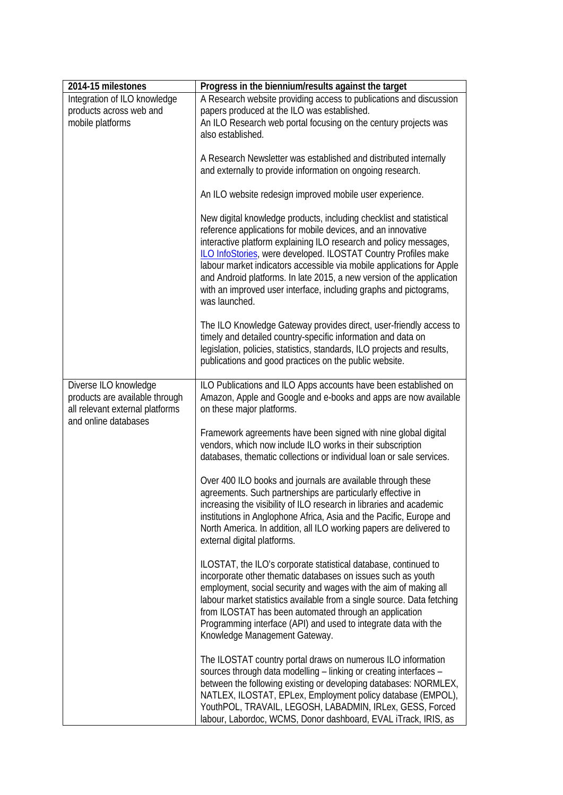| 2014-15 milestones                                                                                                 | Progress in the biennium/results against the target                                                                                                                                                                                                                                                                                                                                                                                                                                                                |
|--------------------------------------------------------------------------------------------------------------------|--------------------------------------------------------------------------------------------------------------------------------------------------------------------------------------------------------------------------------------------------------------------------------------------------------------------------------------------------------------------------------------------------------------------------------------------------------------------------------------------------------------------|
| Integration of ILO knowledge                                                                                       | A Research website providing access to publications and discussion                                                                                                                                                                                                                                                                                                                                                                                                                                                 |
| products across web and<br>mobile platforms                                                                        | papers produced at the ILO was established.<br>An ILO Research web portal focusing on the century projects was<br>also established.                                                                                                                                                                                                                                                                                                                                                                                |
|                                                                                                                    | A Research Newsletter was established and distributed internally<br>and externally to provide information on ongoing research.                                                                                                                                                                                                                                                                                                                                                                                     |
|                                                                                                                    | An ILO website redesign improved mobile user experience.                                                                                                                                                                                                                                                                                                                                                                                                                                                           |
|                                                                                                                    | New digital knowledge products, including checklist and statistical<br>reference applications for mobile devices, and an innovative<br>interactive platform explaining ILO research and policy messages,<br>ILO InfoStories, were developed. ILOSTAT Country Profiles make<br>labour market indicators accessible via mobile applications for Apple<br>and Android platforms. In late 2015, a new version of the application<br>with an improved user interface, including graphs and pictograms,<br>was launched. |
|                                                                                                                    | The ILO Knowledge Gateway provides direct, user-friendly access to<br>timely and detailed country-specific information and data on<br>legislation, policies, statistics, standards, ILO projects and results,<br>publications and good practices on the public website.                                                                                                                                                                                                                                            |
| Diverse ILO knowledge<br>products are available through<br>all relevant external platforms<br>and online databases | ILO Publications and ILO Apps accounts have been established on<br>Amazon, Apple and Google and e-books and apps are now available<br>on these major platforms.                                                                                                                                                                                                                                                                                                                                                    |
|                                                                                                                    | Framework agreements have been signed with nine global digital<br>vendors, which now include ILO works in their subscription<br>databases, thematic collections or individual loan or sale services.                                                                                                                                                                                                                                                                                                               |
|                                                                                                                    | Over 400 ILO books and journals are available through these<br>agreements. Such partnerships are particularly effective in<br>increasing the visibility of ILO research in libraries and academic<br>institutions in Anglophone Africa, Asia and the Pacific, Europe and<br>North America. In addition, all ILO working papers are delivered to<br>external digital platforms.                                                                                                                                     |
|                                                                                                                    | ILOSTAT, the ILO's corporate statistical database, continued to<br>incorporate other thematic databases on issues such as youth<br>employment, social security and wages with the aim of making all<br>labour market statistics available from a single source. Data fetching<br>from ILOSTAT has been automated through an application<br>Programming interface (API) and used to integrate data with the<br>Knowledge Management Gateway.                                                                        |
|                                                                                                                    | The ILOSTAT country portal draws on numerous ILO information<br>sources through data modelling - linking or creating interfaces -<br>between the following existing or developing databases: NORMLEX,<br>NATLEX, ILOSTAT, EPLex, Employment policy database (EMPOL),<br>YouthPOL, TRAVAIL, LEGOSH, LABADMIN, IRLex, GESS, Forced<br>labour, Labordoc, WCMS, Donor dashboard, EVAL iTrack, IRIS, as                                                                                                                 |